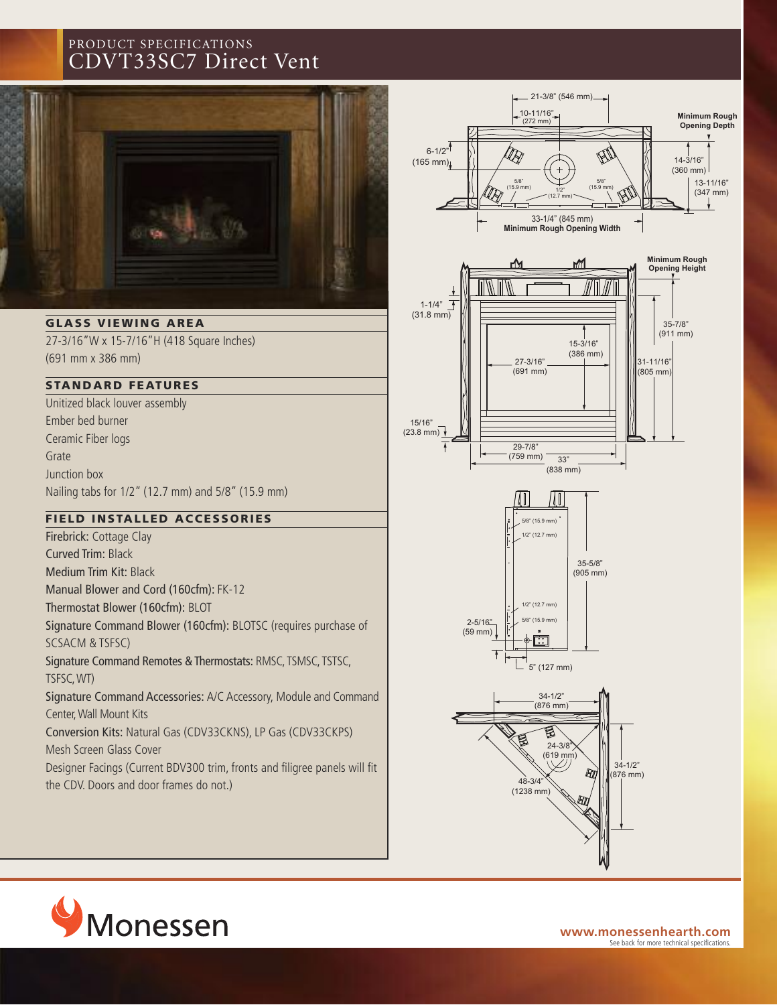# PRODUCT SPECIFICATIONS CDVT33SC7 Direct Vent



**GLASS V IEWING AREA**

27-3/16"W x 15-7/16"H (418 Square Inches) (691 mm x 386 mm)

## **STANDARD FEAT U RES**

Unitized black louver assembly Ember bed burner Ceramic Fiber logs Grate Junction box Nailing tabs for 1/2" (12.7 mm) and 5/8" (15.9 mm)

### **F IELD INSTAL LED ACCESSORIES**

Firebrick: Cottage Clay Curved Trim: Black Medium Trim Kit: Black Manual Blower and Cord (160cfm): FK-12 Thermostat Blower (160cfm): BLOT Signature Command Blower (160cfm): BLOTSC (requires purchase of SCSACM & TSFSC) Signature Command Remotes & Thermostats: RMSC, TSMSC, TSTSC, TSFSC,WT) Signature Command Accessories: A/C Accessory, Module and Command Center,Wall Mount Kits Conversion Kits: Natural Gas (CDV33CKNS), LP Gas (CDV33CKPS) Mesh Screen Glass Cover

Designer Facings (Current BDV300 trim, fronts and filigree panels will fit the CDV. Doors and door frames do not.)